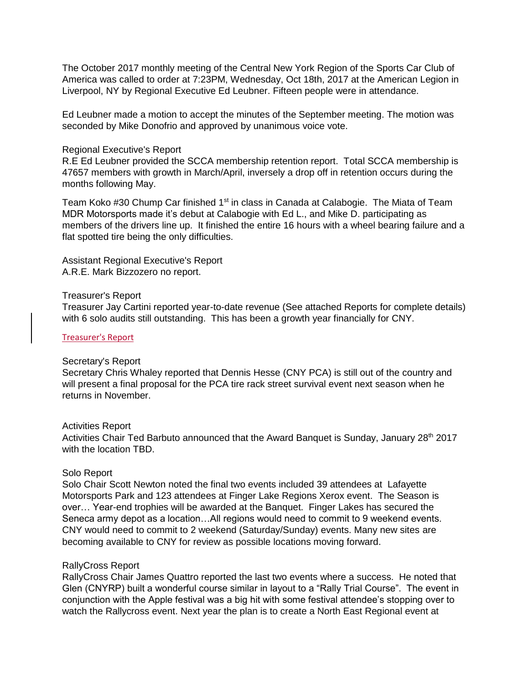The October 2017 monthly meeting of the Central New York Region of the Sports Car Club of America was called to order at 7:23PM, Wednesday, Oct 18th, 2017 at the American Legion in Liverpool, NY by Regional Executive Ed Leubner. Fifteen people were in attendance.

Ed Leubner made a motion to accept the minutes of the September meeting. The motion was seconded by Mike Donofrio and approved by unanimous voice vote.

#### Regional Executive's Report

R.E Ed Leubner provided the SCCA membership retention report. Total SCCA membership is 47657 members with growth in March/April, inversely a drop off in retention occurs during the months following May.

Team Koko #30 Chump Car finished 1<sup>st</sup> in class in Canada at Calabogie. The Miata of Team MDR Motorsports made it's debut at Calabogie with Ed L., and Mike D. participating as members of the drivers line up. It finished the entire 16 hours with a wheel bearing failure and a flat spotted tire being the only difficulties.

Assistant Regional Executive's Report A.R.E. Mark Bizzozero no report.

#### Treasurer's Report

Treasurer Jay Cartini reported year-to-date revenue (See attached Reports for complete details) with 6 solo audits still outstanding. This has been a growth year financially for CNY.

#### [Treasurer's Report](https://www.cny-scca.com/meeting_minutes/2017_10_treasury.pdf)

#### Secretary's Report

Secretary Chris Whaley reported that Dennis Hesse (CNY PCA) is still out of the country and will present a final proposal for the PCA tire rack street survival event next season when he returns in November.

#### Activities Report

Activities Chair Ted Barbuto announced that the Award Banquet is Sunday, January  $28<sup>th</sup> 2017$ with the location TBD.

# Solo Report

Solo Chair Scott Newton noted the final two events included 39 attendees at Lafayette Motorsports Park and 123 attendees at Finger Lake Regions Xerox event. The Season is over… Year-end trophies will be awarded at the Banquet. Finger Lakes has secured the Seneca army depot as a location…All regions would need to commit to 9 weekend events. CNY would need to commit to 2 weekend (Saturday/Sunday) events. Many new sites are becoming available to CNY for review as possible locations moving forward.

# RallyCross Report

RallyCross Chair James Quattro reported the last two events where a success. He noted that Glen (CNYRP) built a wonderful course similar in layout to a "Rally Trial Course". The event in conjunction with the Apple festival was a big hit with some festival attendee's stopping over to watch the Rallycross event. Next year the plan is to create a North East Regional event at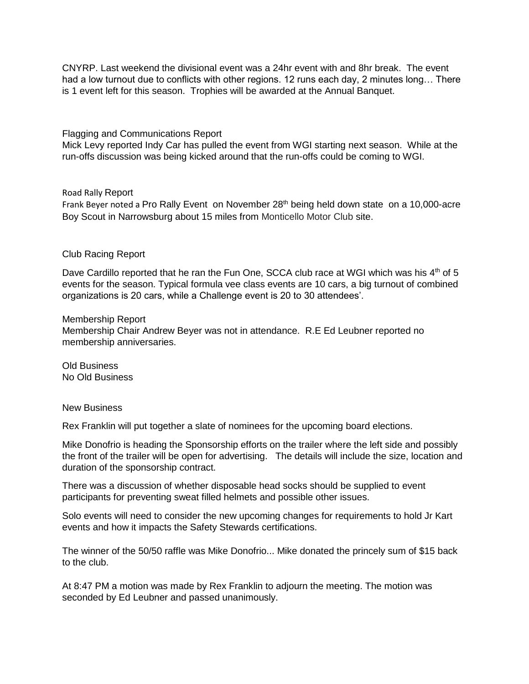CNYRP. Last weekend the divisional event was a 24hr event with and 8hr break. The event had a low turnout due to conflicts with other regions. 12 runs each day, 2 minutes long... There is 1 event left for this season. Trophies will be awarded at the Annual Banquet.

# Flagging and Communications Report

Mick Levy reported Indy Car has pulled the event from WGI starting next season. While at the run-offs discussion was being kicked around that the run-offs could be coming to WGI.

# Road Rally Report

Frank Beyer noted a Pro Rally Event on November 28<sup>th</sup> being held down state on a 10,000-acre Boy Scout in Narrowsburg about 15 miles from Monticello Motor Club site.

# Club Racing Report

Dave Cardillo reported that he ran the Fun One, SCCA club race at WGI which was his  $4<sup>th</sup>$  of 5 events for the season. Typical formula vee class events are 10 cars, a big turnout of combined organizations is 20 cars, while a Challenge event is 20 to 30 attendees'.

# Membership Report

Membership Chair Andrew Beyer was not in attendance. R.E Ed Leubner reported no membership anniversaries.

Old Business No Old Business

# New Business

Rex Franklin will put together a slate of nominees for the upcoming board elections.

Mike Donofrio is heading the Sponsorship efforts on the trailer where the left side and possibly the front of the trailer will be open for advertising. The details will include the size, location and duration of the sponsorship contract.

There was a discussion of whether disposable head socks should be supplied to event participants for preventing sweat filled helmets and possible other issues.

Solo events will need to consider the new upcoming changes for requirements to hold Jr Kart events and how it impacts the Safety Stewards certifications.

The winner of the 50/50 raffle was Mike Donofrio... Mike donated the princely sum of \$15 back to the club.

At 8:47 PM a motion was made by Rex Franklin to adjourn the meeting. The motion was seconded by Ed Leubner and passed unanimously.